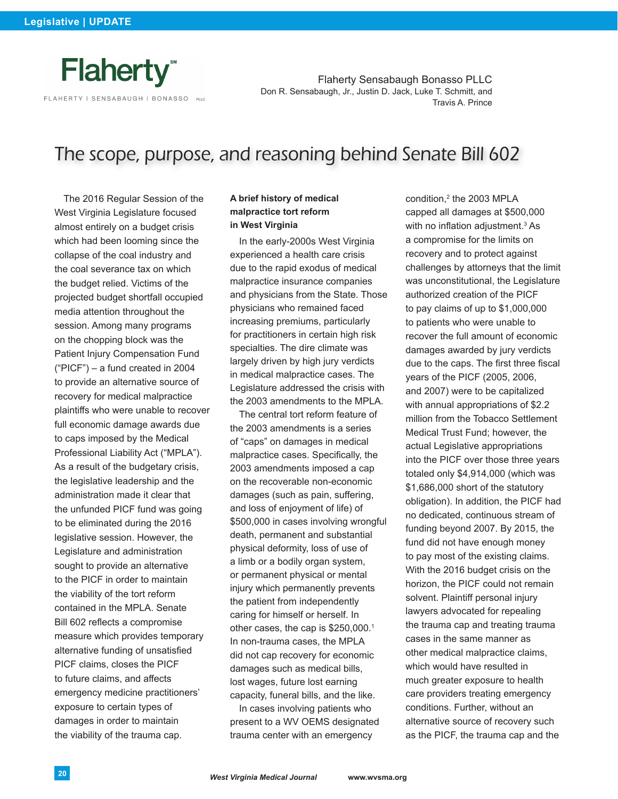

Flaherty Sensabaugh Bonasso PLLC Don R. Sensabaugh, Jr., Justin D. Jack, Luke T. Schmitt, and Travis A. Prince

# The scope, purpose, and reasoning behind Senate Bill 602

The 2016 Regular Session of the West Virginia Legislature focused almost entirely on a budget crisis which had been looming since the collapse of the coal industry and the coal severance tax on which the budget relied. Victims of the projected budget shortfall occupied media attention throughout the session. Among many programs on the chopping block was the Patient Injury Compensation Fund ("PICF") – a fund created in 2004 to provide an alternative source of recovery for medical malpractice plaintiffs who were unable to recover full economic damage awards due to caps imposed by the Medical Professional Liability Act ("MPLA"). As a result of the budgetary crisis, the legislative leadership and the administration made it clear that the unfunded PICF fund was going to be eliminated during the 2016 legislative session. However, the Legislature and administration sought to provide an alternative to the PICF in order to maintain the viability of the tort reform contained in the MPLA. Senate Bill 602 reflects a compromise measure which provides temporary alternative funding of unsatisfied PICF claims, closes the PICF to future claims, and affects emergency medicine practitioners' exposure to certain types of damages in order to maintain the viability of the trauma cap.

## **A brief history of medical malpractice tort reform in West Virginia**

In the early-2000s West Virginia experienced a health care crisis due to the rapid exodus of medical malpractice insurance companies and physicians from the State. Those physicians who remained faced increasing premiums, particularly for practitioners in certain high risk specialties. The dire climate was largely driven by high jury verdicts in medical malpractice cases. The Legislature addressed the crisis with the 2003 amendments to the MPLA.

The central tort reform feature of the 2003 amendments is a series of "caps" on damages in medical malpractice cases. Specifically, the 2003 amendments imposed a cap on the recoverable non-economic damages (such as pain, suffering, and loss of enjoyment of life) of \$500,000 in cases involving wrongful death, permanent and substantial physical deformity, loss of use of a limb or a bodily organ system, or permanent physical or mental injury which permanently prevents the patient from independently caring for himself or herself. In other cases, the cap is \$250,000.<sup>1</sup> In non-trauma cases, the MPLA did not cap recovery for economic damages such as medical bills, lost wages, future lost earning capacity, funeral bills, and the like.

In cases involving patients who present to a WV OEMS designated trauma center with an emergency

condition,<sup>2</sup> the 2003 MPLA capped all damages at \$500,000 with no inflation adjustment.<sup>3</sup> As a compromise for the limits on recovery and to protect against challenges by attorneys that the limit was unconstitutional, the Legislature authorized creation of the PICF to pay claims of up to \$1,000,000 to patients who were unable to recover the full amount of economic damages awarded by jury verdicts due to the caps. The first three fiscal years of the PICF (2005, 2006, and 2007) were to be capitalized with annual appropriations of \$2.2 million from the Tobacco Settlement Medical Trust Fund; however, the actual Legislative appropriations into the PICF over those three years totaled only \$4,914,000 (which was \$1,686,000 short of the statutory obligation). In addition, the PICF had no dedicated, continuous stream of funding beyond 2007. By 2015, the fund did not have enough money to pay most of the existing claims. With the 2016 budget crisis on the horizon, the PICF could not remain solvent. Plaintiff personal injury lawyers advocated for repealing the trauma cap and treating trauma cases in the same manner as other medical malpractice claims, which would have resulted in much greater exposure to health care providers treating emergency conditions. Further, without an alternative source of recovery such as the PICF, the trauma cap and the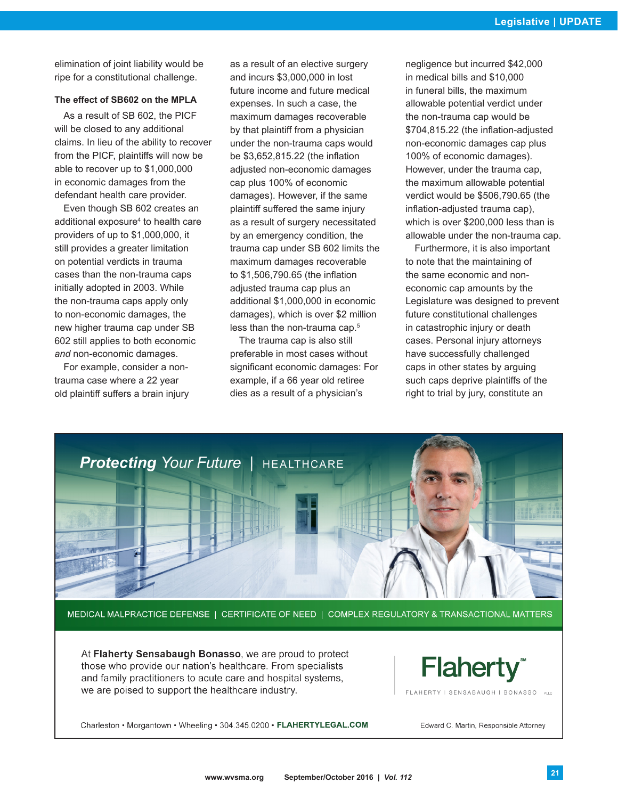elimination of joint liability would be ripe for a constitutional challenge.

## **The effect of SB602 on the MPLA**

As a result of SB 602, the PICF will be closed to any additional claims. In lieu of the ability to recover from the PICF, plaintiffs will now be able to recover up to \$1,000,000 in economic damages from the defendant health care provider.

Even though SB 602 creates an additional exposure4 to health care providers of up to \$1,000,000, it still provides a greater limitation on potential verdicts in trauma cases than the non-trauma caps initially adopted in 2003. While the non-trauma caps apply only to non-economic damages, the new higher trauma cap under SB 602 still applies to both economic *and* non-economic damages.

For example, consider a nontrauma case where a 22 year old plaintiff suffers a brain injury as a result of an elective surgery and incurs \$3,000,000 in lost future income and future medical expenses. In such a case, the maximum damages recoverable by that plaintiff from a physician under the non-trauma caps would be \$3,652,815.22 (the inflation adjusted non-economic damages cap plus 100% of economic damages). However, if the same plaintiff suffered the same injury as a result of surgery necessitated by an emergency condition, the trauma cap under SB 602 limits the maximum damages recoverable to \$1,506,790.65 (the inflation adjusted trauma cap plus an additional \$1,000,000 in economic damages), which is over \$2 million less than the non-trauma cap.<sup>5</sup>

The trauma cap is also still preferable in most cases without significant economic damages: For example, if a 66 year old retiree dies as a result of a physician's

negligence but incurred \$42,000 in medical bills and \$10,000 in funeral bills, the maximum allowable potential verdict under the non-trauma cap would be \$704,815.22 (the inflation-adjusted non-economic damages cap plus 100% of economic damages). However, under the trauma cap, the maximum allowable potential verdict would be \$506,790.65 (the inflation-adjusted trauma cap), which is over \$200,000 less than is allowable under the non-trauma cap.

Furthermore, it is also important to note that the maintaining of the same economic and noneconomic cap amounts by the Legislature was designed to prevent future constitutional challenges in catastrophic injury or death cases. Personal injury attorneys have successfully challenged caps in other states by arguing such caps deprive plaintiffs of the right to trial by jury, constitute an



At Flaherty Sensabaugh Bonasso, we are proud to protect those who provide our nation's healthcare. From specialists and family practitioners to acute care and hospital systems, we are poised to support the healthcare industry.

**Flaherty** 

FLAHERTY | SENSABAUGH | BONASSO

Charleston • Morgantown • Wheeling • 304.345.0200 • FLAHERTYLEGAL.COM

Edward C. Martin, Responsible Attorney